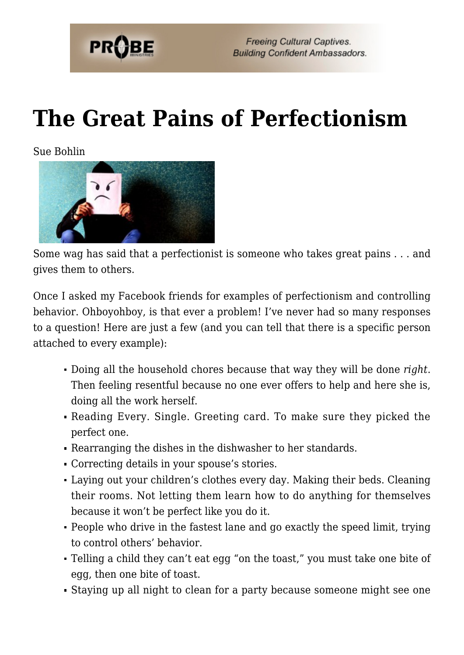

## **[The Great Pains of Perfectionism](https://probe.org/the-great-pains-of-perfectionism/)**

Sue Bohlin



Some wag has said that a perfectionist is someone who takes great pains . . . and gives them to others.

Once I asked my Facebook friends for examples of perfectionism and controlling behavior. Ohboyohboy, is that ever a problem! I've never had so many responses to a question! Here are just a few (and you can tell that there is a specific person attached to every example):

- Doing all the household chores because that way they will be done *right*. Then feeling resentful because no one ever offers to help and here she is, doing all the work herself.
- Reading Every. Single. Greeting card. To make sure they picked the perfect one.
- Rearranging the dishes in the dishwasher to her standards.
- Correcting details in your spouse's stories.
- Laying out your children's clothes every day. Making their beds. Cleaning their rooms. Not letting them learn how to do anything for themselves because it won't be perfect like you do it.
- People who drive in the fastest lane and go exactly the speed limit, trying to control others' behavior.
- Telling a child they can't eat egg "on the toast," you must take one bite of egg, then one bite of toast.
- Staying up all night to clean for a party because someone might see one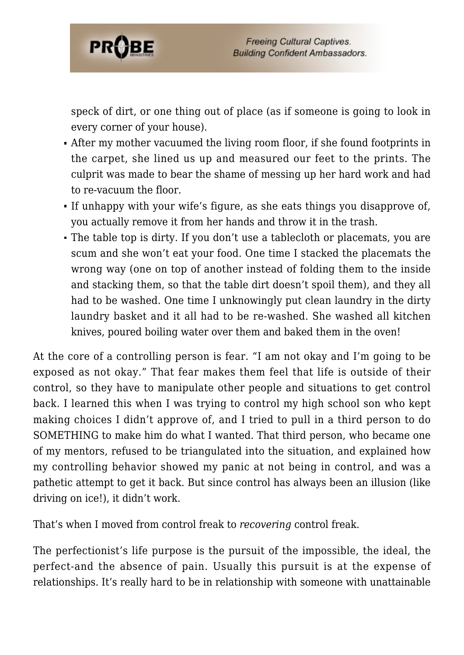

speck of dirt, or one thing out of place (as if someone is going to look in every corner of your house).

- After my mother vacuumed the living room floor, if she found footprints in the carpet, she lined us up and measured our feet to the prints. The culprit was made to bear the shame of messing up her hard work and had to re-vacuum the floor.
- If unhappy with your wife's figure, as she eats things you disapprove of, you actually remove it from her hands and throw it in the trash.
- The table top is dirty. If you don't use a tablecloth or placemats, you are scum and she won't eat your food. One time I stacked the placemats the wrong way (one on top of another instead of folding them to the inside and stacking them, so that the table dirt doesn't spoil them), and they all had to be washed. One time I unknowingly put clean laundry in the dirty laundry basket and it all had to be re-washed. She washed all kitchen knives, poured boiling water over them and baked them in the oven!

At the core of a controlling person is fear. "I am not okay and I'm going to be exposed as not okay." That fear makes them feel that life is outside of their control, so they have to manipulate other people and situations to get control back. I learned this when I was trying to control my high school son who kept making choices I didn't approve of, and I tried to pull in a third person to do SOMETHING to make him do what I wanted. That third person, who became one of my mentors, refused to be triangulated into the situation, and explained how my controlling behavior showed my panic at not being in control, and was a pathetic attempt to get it back. But since control has always been an illusion (like driving on ice!), it didn't work.

That's when I moved from control freak to *recovering* control freak.

The perfectionist's life purpose is the pursuit of the impossible, the ideal, the perfect-and the absence of pain. Usually this pursuit is at the expense of relationships. It's really hard to be in relationship with someone with unattainable